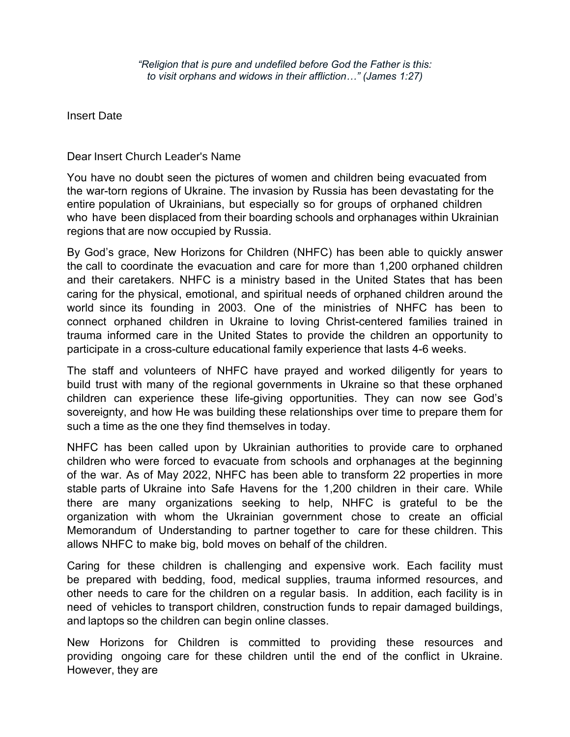*"Religion that is pure and undefiled before God the Father is this: to visit orphans and widows in their affliction…" (James 1:27)* 

Insert Date

Dear Insert Church Leader's Name

You have no doubt seen the pictures of women and children being evacuated from the war-torn regions of Ukraine. The invasion by Russia has been devastating for the entire population of Ukrainians, but especially so for groups of orphaned children who have been displaced from their boarding schools and orphanages within Ukrainian regions that are now occupied by Russia.

By God's grace, New Horizons for Children (NHFC) has been able to quickly answer the call to coordinate the evacuation and care for more than 1,200 orphaned children and their caretakers. NHFC is a ministry based in the United States that has been caring for the physical, emotional, and spiritual needs of orphaned children around the world since its founding in 2003. One of the ministries of NHFC has been to connect orphaned children in Ukraine to loving Christ-centered families trained in trauma informed care in the United States to provide the children an opportunity to participate in a cross-culture educational family experience that lasts 4-6 weeks.

The staff and volunteers of NHFC have prayed and worked diligently for years to build trust with many of the regional governments in Ukraine so that these orphaned children can experience these life-giving opportunities. They can now see God's sovereignty, and how He was building these relationships over time to prepare them for such a time as the one they find themselves in today.

NHFC has been called upon by Ukrainian authorities to provide care to orphaned children who were forced to evacuate from schools and orphanages at the beginning of the war. As of May 2022, NHFC has been able to transform 22 properties in more stable parts of Ukraine into Safe Havens for the 1,200 children in their care. While there are many organizations seeking to help, NHFC is grateful to be the organization with whom the Ukrainian government chose to create an official Memorandum of Understanding to partner together to care for these children. This allows NHFC to make big, bold moves on behalf of the children.

Caring for these children is challenging and expensive work. Each facility must be prepared with bedding, food, medical supplies, trauma informed resources, and other needs to care for the children on a regular basis. In addition, each facility is in need of vehicles to transport children, construction funds to repair damaged buildings, and laptops so the children can begin online classes.

New Horizons for Children is committed to providing these resources and providing ongoing care for these children until the end of the conflict in Ukraine. However, they are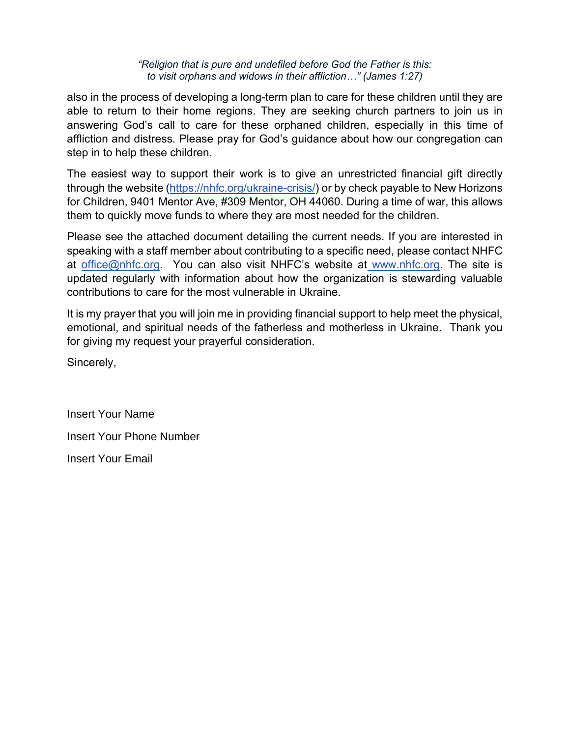#### *"Religion that is pure and undefiled before God the Father is this: to visit orphans and widows in their affliction…" (James 1:27)*

also in the process of developing a long-term plan to care for these children until they are able to return to their home regions. They are seeking church partners to join us in answering God's call to care for these orphaned children, especially in this time of affliction and distress. Please pray for God's guidance about how our congregation can step in to help these children.

The easiest way to support their work is to give an unrestricted financial gift directly through the website [\(https://nhfc.org/ukraine-crisis/\)](https://nhfc.org/ukraine-crisis/) or by check payable to New Horizons for Children, 9401 Mentor Ave, #309 Mentor, OH 44060. During a time of war, this allows them to quickly move funds to where they are most needed for the children.

Please see the attached document detailing the current needs. If you are interested in speaking with a staff member about contributing to a specific need, please contact NHFC at [office@nhfc.org.](mailto:smcclurg@nhfc.org) You can also visit NHFC's website at [www.nhfc.org.](http://www.nhfc.org/) The site is updated regularly with information about how the organization is stewarding valuable contributions to care for the most vulnerable in Ukraine.

It is my prayer that you will join me in providing financial support to help meet the physical, emotional, and spiritual needs of the fatherless and motherless in Ukraine. Thank you for giving my request your prayerful consideration.

Sincerely,

Insert Your Name Insert Your Phone Number Insert Your Email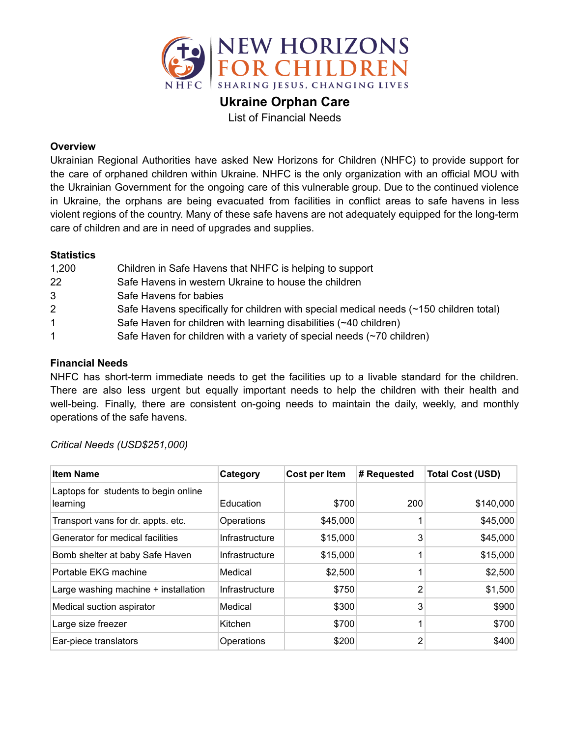

**Ukraine Orphan Care**

List of Financial Needs

## **Overview**

Ukrainian Regional Authorities have asked New Horizons for Children (NHFC) to provide support for the care of orphaned children within Ukraine. NHFC is the only organization with an official MOU with the Ukrainian Government for the ongoing care of this vulnerable group. Due to the continued violence in Ukraine, the orphans are being evacuated from facilities in conflict areas to safe havens in less violent regions of the country. Many of these safe havens are not adequately equipped for the long-term care of children and are in need of upgrades and supplies.

## **Statistics**

| 1,200                | Children in Safe Havens that NHFC is helping to support                                |
|----------------------|----------------------------------------------------------------------------------------|
| 22                   | Safe Havens in western Ukraine to house the children                                   |
| 3                    | Safe Havens for babies                                                                 |
| $\overline{2}$       | Safe Havens specifically for children with special medical needs (~150 children total) |
| $\blacktriangleleft$ | Safe Haven for children with learning disabilities (~40 children)                      |
| $\mathbf 1$          | Safe Haven for children with a variety of special needs (~70 children)                 |

## **Financial Needs**

NHFC has short-term immediate needs to get the facilities up to a livable standard for the children. There are also less urgent but equally important needs to help the children with their health and well-being. Finally, there are consistent on-going needs to maintain the daily, weekly, and monthly operations of the safe havens.

| <b>Item Name</b>                                 | Category       | Cost per Item | # Requested | <b>Total Cost (USD)</b> |
|--------------------------------------------------|----------------|---------------|-------------|-------------------------|
| Laptops for students to begin online<br>learning | Education      | \$700         | 200         | \$140,000               |
| Transport vans for dr. appts. etc.               | Operations     | \$45,000      |             | \$45,000                |
| Generator for medical facilities                 | Infrastructure | \$15,000      | 3           | \$45,000                |
| Bomb shelter at baby Safe Haven                  | Infrastructure | \$15,000      |             | \$15,000                |
| Portable EKG machine                             | Medical        | \$2,500       |             | \$2,500                 |
| Large washing machine + installation             | Infrastructure | \$750         | 2           | \$1,500                 |
| Medical suction aspirator                        | Medical        | \$300         | 3           | \$900                   |
| Large size freezer                               | Kitchen        | \$700         |             | \$700                   |
| Ear-piece translators                            | Operations     | \$200         | 2           | \$400                   |

# *Critical Needs (USD\$251,000)*